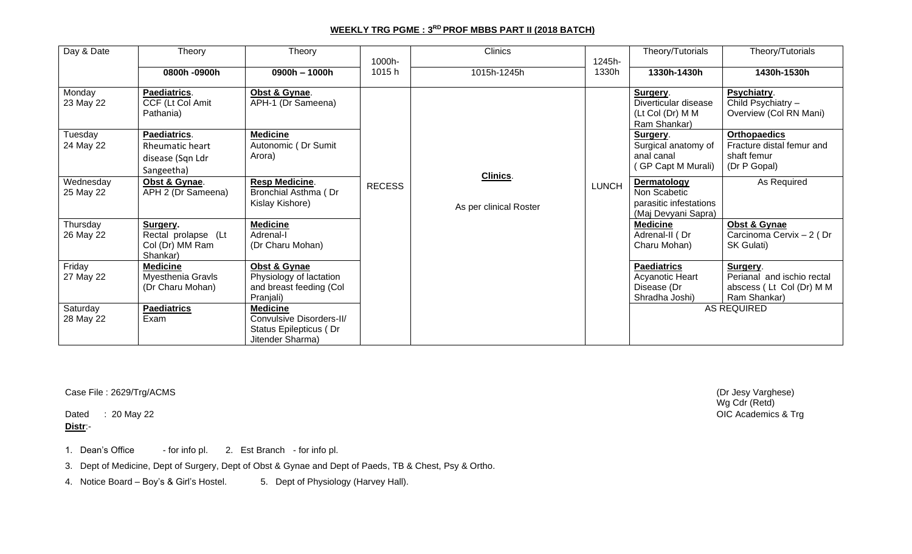## **WEEKLY TRG PGME : 3 RD PROF MBBS PART II (2018 BATCH)**

| Day & Date             | Theory                                                            | Theory                                                                                    | 1000h-        | Clinics                            | 1245h-       | Theory/Tutorials                                                             | Theory/Tutorials                                                                   |
|------------------------|-------------------------------------------------------------------|-------------------------------------------------------------------------------------------|---------------|------------------------------------|--------------|------------------------------------------------------------------------------|------------------------------------------------------------------------------------|
|                        | 0800h -0900h                                                      | 0900h - 1000h                                                                             | 1015h         | 1015h-1245h                        | 1330h        | 1330h-1430h                                                                  | 1430h-1530h                                                                        |
| Monday<br>23 May 22    | Paediatrics.<br>CCF (Lt Col Amit<br>Pathania)                     | Obst & Gynae.<br>APH-1 (Dr Sameena)                                                       |               |                                    |              | Surgery.<br>Diverticular disease<br>(Lt Col (Dr) M M<br>Ram Shankar)         | Psychiatry.<br>Child Psychiatry -<br>Overview (Col RN Mani)                        |
| Tuesday<br>24 May 22   | Paediatrics.<br>Rheumatic heart<br>disease (Sqn Ldr<br>Sangeetha) | <b>Medicine</b><br>Autonomic (Dr Sumit<br>Arora)                                          |               |                                    |              | Surgery.<br>Surgical anatomy of<br>anal canal<br>(GP Capt M Murali)          | <b>Orthopaedics</b><br>Fracture distal femur and<br>shaft femur<br>(Dr P Gopal)    |
| Wednesday<br>25 May 22 | Obst & Gynae.<br>APH 2 (Dr Sameena)                               | <b>Resp Medicine.</b><br>Bronchial Asthma (Dr<br>Kislay Kishore)                          | <b>RECESS</b> | Clinics.<br>As per clinical Roster | <b>LUNCH</b> | Dermatology<br>Non Scabetic<br>parasitic infestations<br>(Maj Devyani Sapra) | As Required                                                                        |
| Thursday<br>26 May 22  | Surgery.<br>Rectal prolapse (Lt<br>Col (Dr) MM Ram<br>Shankar)    | <b>Medicine</b><br>Adrenal-I<br>(Dr Charu Mohan)                                          |               |                                    |              | <b>Medicine</b><br>Adrenal-II (Dr<br>Charu Mohan)                            | Obst & Gynae<br>Carcinoma Cervix - 2 (Dr<br>SK Gulati)                             |
| Friday<br>27 May 22    | <b>Medicine</b><br>Myesthenia Gravls<br>(Dr Charu Mohan)          | Obst & Gynae<br>Physiology of lactation<br>and breast feeding (Col<br>Pranjali)           |               |                                    |              | <b>Paediatrics</b><br>Acyanotic Heart<br>Disease (Dr<br>Shradha Joshi)       | Surgery.<br>Perianal and ischio rectal<br>abscess (Lt Col (Dr) M M<br>Ram Shankar) |
| Saturday<br>28 May 22  | <b>Paediatrics</b><br>Exam                                        | <b>Medicine</b><br>Convulsive Disorders-II/<br>Status Epilepticus (Dr<br>Jitender Sharma) |               |                                    |              |                                                                              | AS REQUIRED                                                                        |

Case File : 2629/Trg/ACMS (Dr Jesy Varghese)

Dated  $\therefore$  20 May 22 **Distr**:-

1. Dean's Office - for info pl. 2. Est Branch - for info pl.

3. Dept of Medicine, Dept of Surgery, Dept of Obst & Gynae and Dept of Paeds, TB & Chest, Psy & Ortho.

4. Notice Board – Boy's & Girl's Hostel. 5. Dept of Physiology (Harvey Hall).

Wg Cdr (Retd)<br>OIC Academics & Trg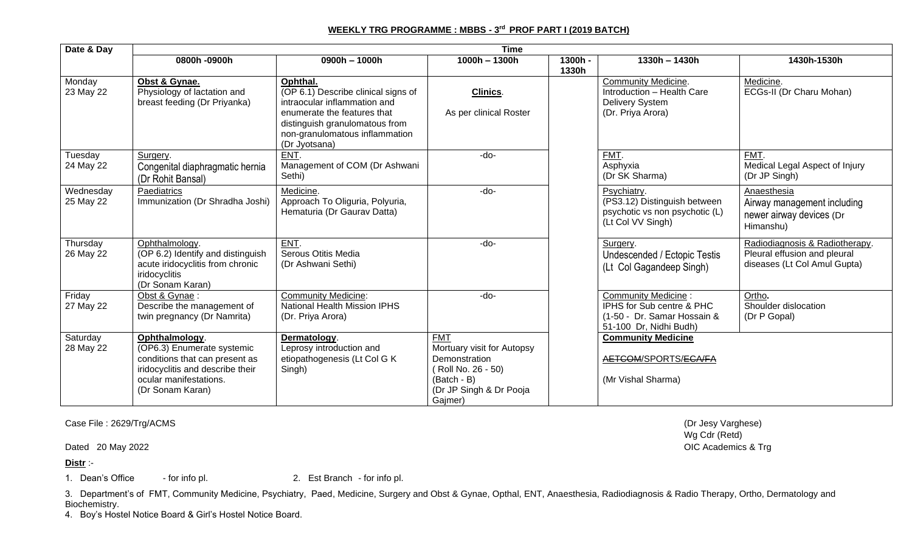## **WEEKLY TRG PROGRAMME : MBBS - 3 rd PROF PART I (2019 BATCH)**

| Date & Day             | <b>Time</b>                                                                                                                                                      |                                                                                                                                                                                                     |                                                                                                                                     |                  |                                                                                                                  |                                                                                                |
|------------------------|------------------------------------------------------------------------------------------------------------------------------------------------------------------|-----------------------------------------------------------------------------------------------------------------------------------------------------------------------------------------------------|-------------------------------------------------------------------------------------------------------------------------------------|------------------|------------------------------------------------------------------------------------------------------------------|------------------------------------------------------------------------------------------------|
|                        | 0800h -0900h                                                                                                                                                     | 0900h - 1000h                                                                                                                                                                                       | $1000h - 1300h$                                                                                                                     | 1300h -<br>1330h | 1330h - 1430h                                                                                                    | 1430h-1530h                                                                                    |
| Monday<br>23 May 22    | Obst & Gynae.<br>Physiology of lactation and<br>breast feeding (Dr Priyanka)                                                                                     | Ophthal.<br>(OP 6.1) Describe clinical signs of<br>intraocular inflammation and<br>enumerate the features that<br>distinguish granulomatous from<br>non-granulomatous inflammation<br>(Dr Jyotsana) | Clinics.<br>As per clinical Roster                                                                                                  |                  | <b>Community Medicine.</b><br>Introduction - Health Care<br><b>Delivery System</b><br>(Dr. Priya Arora)          | Medicine.<br>ECGs-II (Dr Charu Mohan)                                                          |
| Tuesday<br>24 May 22   | Surgery.<br>Congenital diaphragmatic hernia<br>(Dr Rohit Bansal)                                                                                                 | ENT.<br>Management of COM (Dr Ashwani<br>Sethi)                                                                                                                                                     | -do-                                                                                                                                |                  | FMT.<br>Asphyxia<br>(Dr SK Sharma)                                                                               | FMT.<br>Medical Legal Aspect of Injury<br>(Dr JP Singh)                                        |
| Wednesday<br>25 May 22 | Paediatrics<br>Immunization (Dr Shradha Joshi)                                                                                                                   | Medicine.<br>Approach To Oliguria, Polyuria,<br>Hematuria (Dr Gaurav Datta)                                                                                                                         | -do-                                                                                                                                |                  | Psychiatry.<br>(PS3.12) Distinguish between<br>psychotic vs non psychotic (L)<br>(Lt Col VV Singh)               | Anaesthesia<br>Airway management including<br>newer airway devices (Dr<br>Himanshu)            |
| Thursday<br>26 May 22  | Ophthalmology.<br>(OP 6.2) Identify and distinguish<br>acute iridocyclitis from chronic<br>iridocyclitis<br>(Dr Sonam Karan)                                     | ENT.<br>Serous Otitis Media<br>(Dr Ashwani Sethi)                                                                                                                                                   | -do-                                                                                                                                |                  | Surgery.<br>Undescended / Ectopic Testis<br>(Lt Col Gagandeep Singh)                                             | Radiodiagnosis & Radiotherapy.<br>Pleural effusion and pleural<br>diseases (Lt Col Amul Gupta) |
| Friday<br>27 May 22    | Obst & Gynae:<br>Describe the management of<br>twin pregnancy (Dr Namrita)                                                                                       | <b>Community Medicine:</b><br><b>National Health Mission IPHS</b><br>(Dr. Priya Arora)                                                                                                              | -do-                                                                                                                                |                  | <b>Community Medicine:</b><br>IPHS for Sub centre & PHC<br>(1-50 - Dr. Samar Hossain &<br>51-100 Dr, Nidhi Budh) | Ortho.<br>Shoulder dislocation<br>(Dr P Gopal)                                                 |
| Saturday<br>28 May 22  | Ophthalmology.<br>(OP6.3) Enumerate systemic<br>conditions that can present as<br>iridocyclitis and describe their<br>ocular manifestations.<br>(Dr Sonam Karan) | Dermatology.<br>Leprosy introduction and<br>etiopathogenesis (Lt Col G K<br>Singh)                                                                                                                  | <b>FMT</b><br>Mortuary visit for Autopsy<br>Demonstration<br>Roll No. 26 - 50)<br>(Batch - B)<br>(Dr JP Singh & Dr Pooja<br>Gajmer) |                  | <b>Community Medicine</b><br>AETCOM/SPORTS/ECA/FA<br>(Mr Vishal Sharma)                                          |                                                                                                |

Case File : 2629/Trg/ACMS (Dr Jesy Varghese)

**Distr** :-

1. Dean's Office - for info pl. 2. Est Branch - for info pl.

3. Department's of FMT, Community Medicine, Psychiatry, Paed, Medicine, Surgery and Obst & Gynae, Opthal, ENT, Anaesthesia, Radiodiagnosis & Radio Therapy, Ortho, Dermatology and Biochemistry.

4. Boy's Hostel Notice Board & Girl's Hostel Notice Board.

Wg Cdr (Retd) Dated 20 May 2022 **OIC Academics & Trg**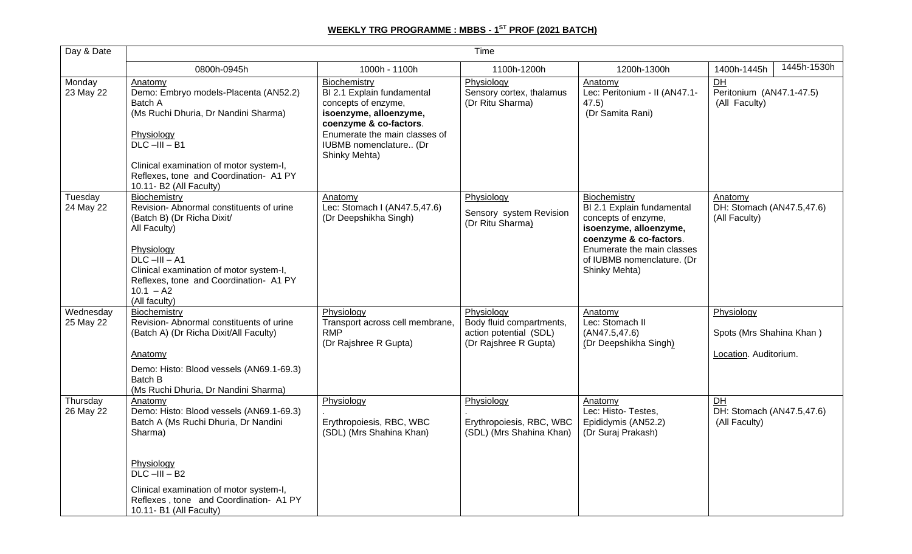## **WEEKLY TRG PROGRAMME : MBBS - 1 ST PROF (2021 BATCH)**

| Day & Date             | Time                                                                                                                                                                                                                                                                |                                                                                                                                                                                                   |                                                                                           |                                                                                                                                                                                                    |                                                                 |  |  |
|------------------------|---------------------------------------------------------------------------------------------------------------------------------------------------------------------------------------------------------------------------------------------------------------------|---------------------------------------------------------------------------------------------------------------------------------------------------------------------------------------------------|-------------------------------------------------------------------------------------------|----------------------------------------------------------------------------------------------------------------------------------------------------------------------------------------------------|-----------------------------------------------------------------|--|--|
|                        | 0800h-0945h                                                                                                                                                                                                                                                         | 1000h - 1100h                                                                                                                                                                                     | 1100h-1200h                                                                               | 1200h-1300h                                                                                                                                                                                        | 1445h-1530h<br>1400h-1445h                                      |  |  |
| Monday<br>23 May 22    | Anatomy<br>Demo: Embryo models-Placenta (AN52.2)<br>Batch A<br>(Ms Ruchi Dhuria, Dr Nandini Sharma)<br>Physiology<br>$DLC$ $-III$ $- B1$<br>Clinical examination of motor system-I,<br>Reflexes, tone and Coordination- A1 PY<br>10.11- B2 (All Faculty)            | Biochemistry<br>BI 2.1 Explain fundamental<br>concepts of enzyme,<br>isoenzyme, alloenzyme,<br>coenzyme & co-factors.<br>Enumerate the main classes of<br>IUBMB nomenclature (Dr<br>Shinky Mehta) | Physiology<br>Sensory cortex, thalamus<br>(Dr Ritu Sharma)                                | Anatomy<br>Lec: Peritonium - II (AN47.1-<br>47.5)<br>(Dr Samita Rani)                                                                                                                              | DH<br>Peritonium (AN47.1-47.5)<br>(All Faculty)                 |  |  |
| Tuesday<br>24 May 22   | Biochemistry<br>Revision-Abnormal constituents of urine<br>(Batch B) (Dr Richa Dixit/<br>All Faculty)<br>Physiology<br>$DLC$ -III - A1<br>Clinical examination of motor system-I,<br>Reflexes, tone and Coordination- A1 PY<br>$10.1 - A2$<br>(All faculty)         | Anatomv<br>Lec: Stomach I (AN47.5,47.6)<br>(Dr Deepshikha Singh)                                                                                                                                  | Physiology<br>Sensory system Revision<br>(Dr Ritu Sharma)                                 | Biochemistry<br>BI 2.1 Explain fundamental<br>concepts of enzyme,<br>isoenzyme, alloenzyme,<br>coenzyme & co-factors.<br>Enumerate the main classes<br>of IUBMB nomenclature. (Dr<br>Shinky Mehta) | Anatomy<br>DH: Stomach (AN47.5,47.6)<br>(All Faculty)           |  |  |
| Wednesday<br>25 May 22 | Biochemistry<br>Revision-Abnormal constituents of urine<br>(Batch A) (Dr Richa Dixit/All Faculty)<br>Anatomy<br>Demo: Histo: Blood vessels (AN69.1-69.3)<br>Batch B<br>(Ms Ruchi Dhuria, Dr Nandini Sharma)                                                         | Physiology<br>Transport across cell membrane,<br><b>RMP</b><br>(Dr Rajshree R Gupta)                                                                                                              | Physiology<br>Body fluid compartments,<br>action potential (SDL)<br>(Dr Rajshree R Gupta) | Anatomy<br>Lec: Stomach II<br>(AN47.5, 47.6)<br>(Dr Deepshikha Singh)                                                                                                                              | Physiology<br>Spots (Mrs Shahina Khan)<br>Location. Auditorium. |  |  |
| Thursday<br>26 May 22  | Anatomy<br>Demo: Histo: Blood vessels (AN69.1-69.3)<br>Batch A (Ms Ruchi Dhuria, Dr Nandini<br>Sharma)<br>Physiology<br>$DLC$ -III - B <sub>2</sub><br>Clinical examination of motor system-I,<br>Reflexes, tone and Coordination- A1 PY<br>10.11- B1 (All Faculty) | Physiology<br>Erythropoiesis, RBC, WBC<br>(SDL) (Mrs Shahina Khan)                                                                                                                                | Physiology<br>Erythropoiesis, RBC, WBC<br>(SDL) (Mrs Shahina Khan)                        | Anatomy<br>Lec: Histo-Testes,<br>Epididymis (AN52.2)<br>(Dr Suraj Prakash)                                                                                                                         | $\overline{D}$<br>DH: Stomach (AN47.5,47.6)<br>(All Faculty)    |  |  |